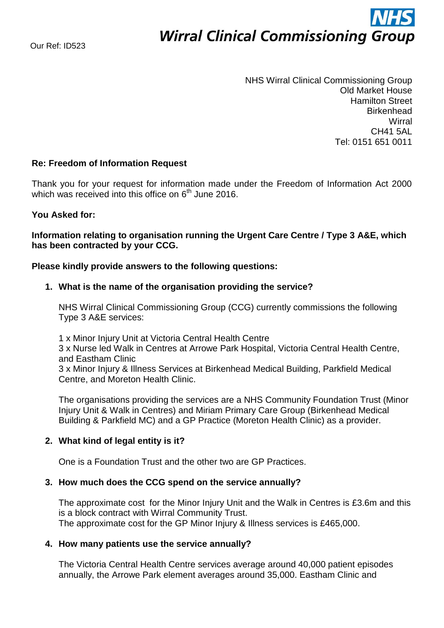# **Wirral Clinical Commissioning Group**

NHS Wirral Clinical Commissioning Group Old Market House Hamilton Street **Birkenhead Wirral** CH41 5AL Tel: 0151 651 0011

# **Re: Freedom of Information Request**

Thank you for your request for information made under the Freedom of Information Act 2000 which was received into this office on 6<sup>th</sup> June 2016.

#### **You Asked for:**

**Information relating to organisation running the Urgent Care Centre / Type 3 A&E, which has been contracted by your CCG.** 

#### **Please kindly provide answers to the following questions:**

#### **1. What is the name of the organisation providing the service?**

NHS Wirral Clinical Commissioning Group (CCG) currently commissions the following Type 3 A&E services:

1 x Minor Injury Unit at Victoria Central Health Centre

3 x Nurse led Walk in Centres at Arrowe Park Hospital, Victoria Central Health Centre, and Eastham Clinic

3 x Minor Injury & Illness Services at Birkenhead Medical Building, Parkfield Medical Centre, and Moreton Health Clinic.

The organisations providing the services are a NHS Community Foundation Trust (Minor Injury Unit & Walk in Centres) and Miriam Primary Care Group (Birkenhead Medical Building & Parkfield MC) and a GP Practice (Moreton Health Clinic) as a provider.

#### **2. What kind of legal entity is it?**

One is a Foundation Trust and the other two are GP Practices.

#### **3. How much does the CCG spend on the service annually?**

The approximate cost for the Minor Injury Unit and the Walk in Centres is £3.6m and this is a block contract with Wirral Community Trust. The approximate cost for the GP Minor Injury & Illness services is £465,000.

#### **4. How many patients use the service annually?**

The Victoria Central Health Centre services average around 40,000 patient episodes annually, the Arrowe Park element averages around 35,000. Eastham Clinic and